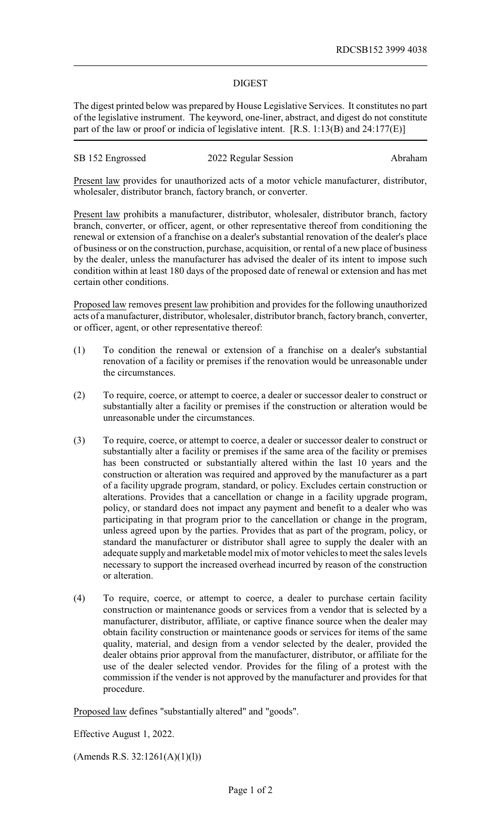## DIGEST

The digest printed below was prepared by House Legislative Services. It constitutes no part of the legislative instrument. The keyword, one-liner, abstract, and digest do not constitute part of the law or proof or indicia of legislative intent. [R.S. 1:13(B) and 24:177(E)]

|  | SB 152 Engrossed | 2022 Regular Session | Abraham |
|--|------------------|----------------------|---------|
|--|------------------|----------------------|---------|

Present law provides for unauthorized acts of a motor vehicle manufacturer, distributor, wholesaler, distributor branch, factory branch, or converter.

Present law prohibits a manufacturer, distributor, wholesaler, distributor branch, factory branch, converter, or officer, agent, or other representative thereof from conditioning the renewal or extension of a franchise on a dealer's substantial renovation of the dealer's place of business or on the construction, purchase, acquisition, or rental of a new place of business by the dealer, unless the manufacturer has advised the dealer of its intent to impose such condition within at least 180 days of the proposed date of renewal or extension and has met certain other conditions.

Proposed law removes present law prohibition and provides for the following unauthorized acts of a manufacturer, distributor, wholesaler, distributor branch, factory branch, converter, or officer, agent, or other representative thereof:

- (1) To condition the renewal or extension of a franchise on a dealer's substantial renovation of a facility or premises if the renovation would be unreasonable under the circumstances.
- (2) To require, coerce, or attempt to coerce, a dealer or successor dealer to construct or substantially alter a facility or premises if the construction or alteration would be unreasonable under the circumstances.
- (3) To require, coerce, or attempt to coerce, a dealer or successor dealer to construct or substantially alter a facility or premises if the same area of the facility or premises has been constructed or substantially altered within the last 10 years and the construction or alteration was required and approved by the manufacturer as a part of a facility upgrade program, standard, or policy. Excludes certain construction or alterations. Provides that a cancellation or change in a facility upgrade program, policy, or standard does not impact any payment and benefit to a dealer who was participating in that program prior to the cancellation or change in the program, unless agreed upon by the parties. Provides that as part of the program, policy, or standard the manufacturer or distributor shall agree to supply the dealer with an adequate supply and marketable model mix of motor vehicles to meet the sales levels necessary to support the increased overhead incurred by reason of the construction or alteration.
- (4) To require, coerce, or attempt to coerce, a dealer to purchase certain facility construction or maintenance goods or services from a vendor that is selected by a manufacturer, distributor, affiliate, or captive finance source when the dealer may obtain facility construction or maintenance goods or services for items of the same quality, material, and design from a vendor selected by the dealer, provided the dealer obtains prior approval from the manufacturer, distributor, or affiliate for the use of the dealer selected vendor. Provides for the filing of a protest with the commission if the vender is not approved by the manufacturer and provides for that procedure.

Proposed law defines "substantially altered" and "goods".

Effective August 1, 2022.

(Amends R.S. 32:1261(A)(1)(l))